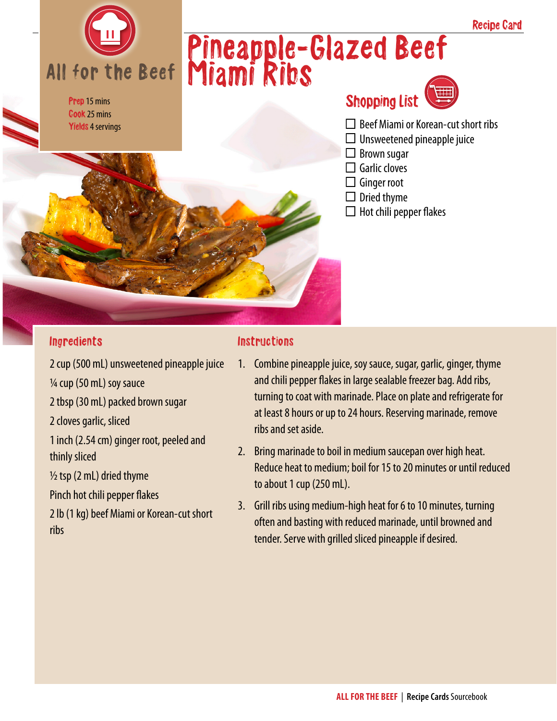

Prep 15 mins Cook 25 mins Yields 4 servings

# Pineapple-Glazed Beef Miami Ribs



- $\Box$  Beef Miami or Korean-cut short ribs
- $\Box$  Unsweetened pineapple juice
- $\Box$  Brown sugar
- $\Box$  Garlic cloves
- $\Box$  Ginger root
- $\Box$  Dried thyme
- $\Box$  Hot chili pepper flakes

#### **Ingredients**

2 cup (500 mL) unsweetened pineapple juice ¼ cup (50 mL) soy sauce 2 tbsp (30 mL) packed brown sugar 2 cloves garlic, sliced 1 inch (2.54 cm) ginger root, peeled and thinly sliced  $\frac{1}{2}$  tsp (2 mL) dried thyme Pinch hot chili pepper flakes 2 lb (1 kg) beef Miami or Korean-cut short ribs

#### **Instructions**

- 1. Combine pineapple juice, soy sauce, sugar, garlic, ginger, thyme and chili pepper flakes in large sealable freezer bag. Add ribs, turning to coat with marinade. Place on plate and refrigerate for at least 8 hours or up to 24 hours. Reserving marinade, remove ribs and set aside.
- 2. Bring marinade to boil in medium saucepan over high heat. Reduce heat to medium; boil for 15 to 20 minutes or until reduced to about 1 cup (250 mL).
- 3. Grill ribs using medium-high heat for 6 to 10 minutes, turning often and basting with reduced marinade, until browned and tender. Serve with grilled sliced pineapple if desired.